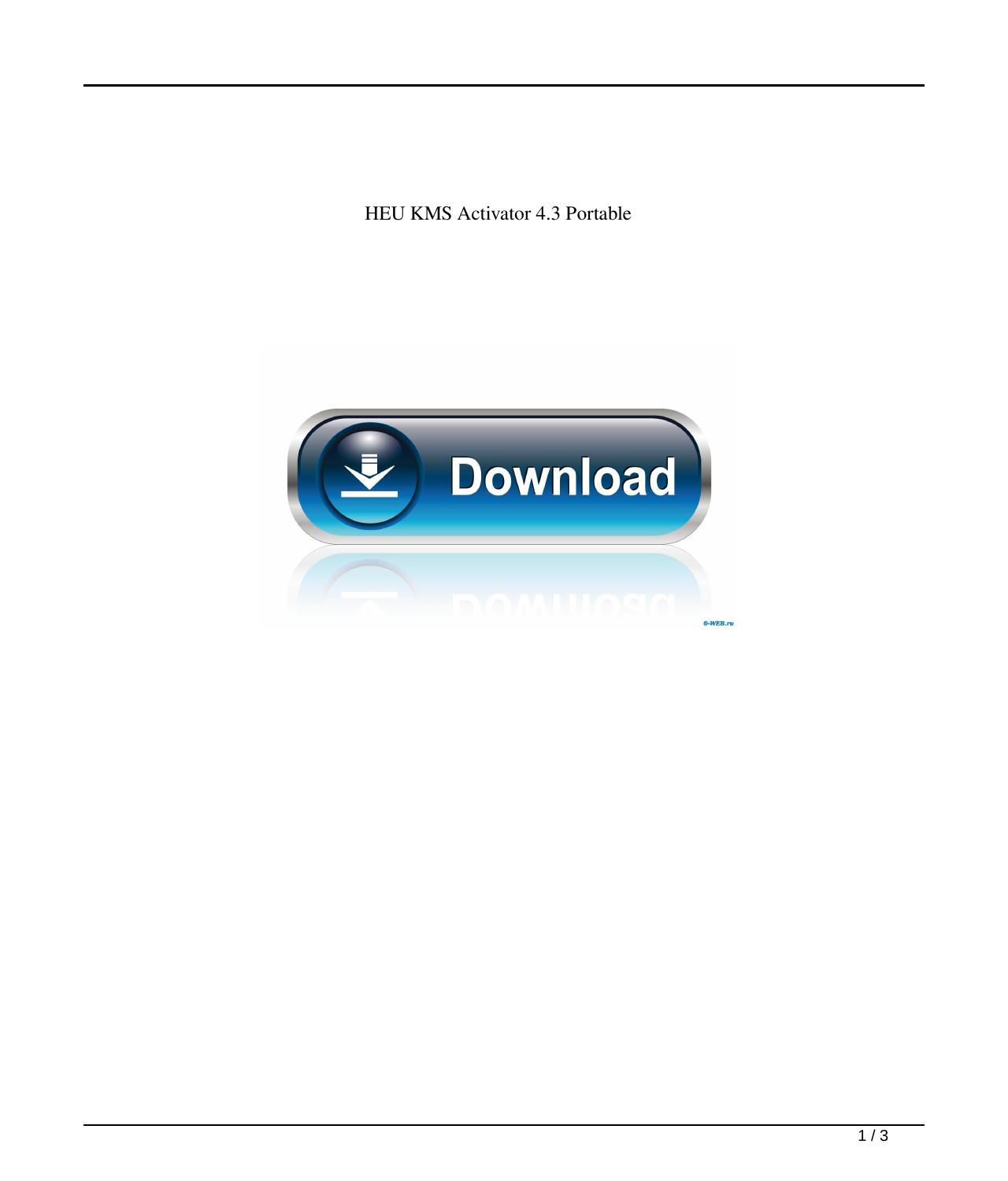HEU KMS Activator 4.3 Portable

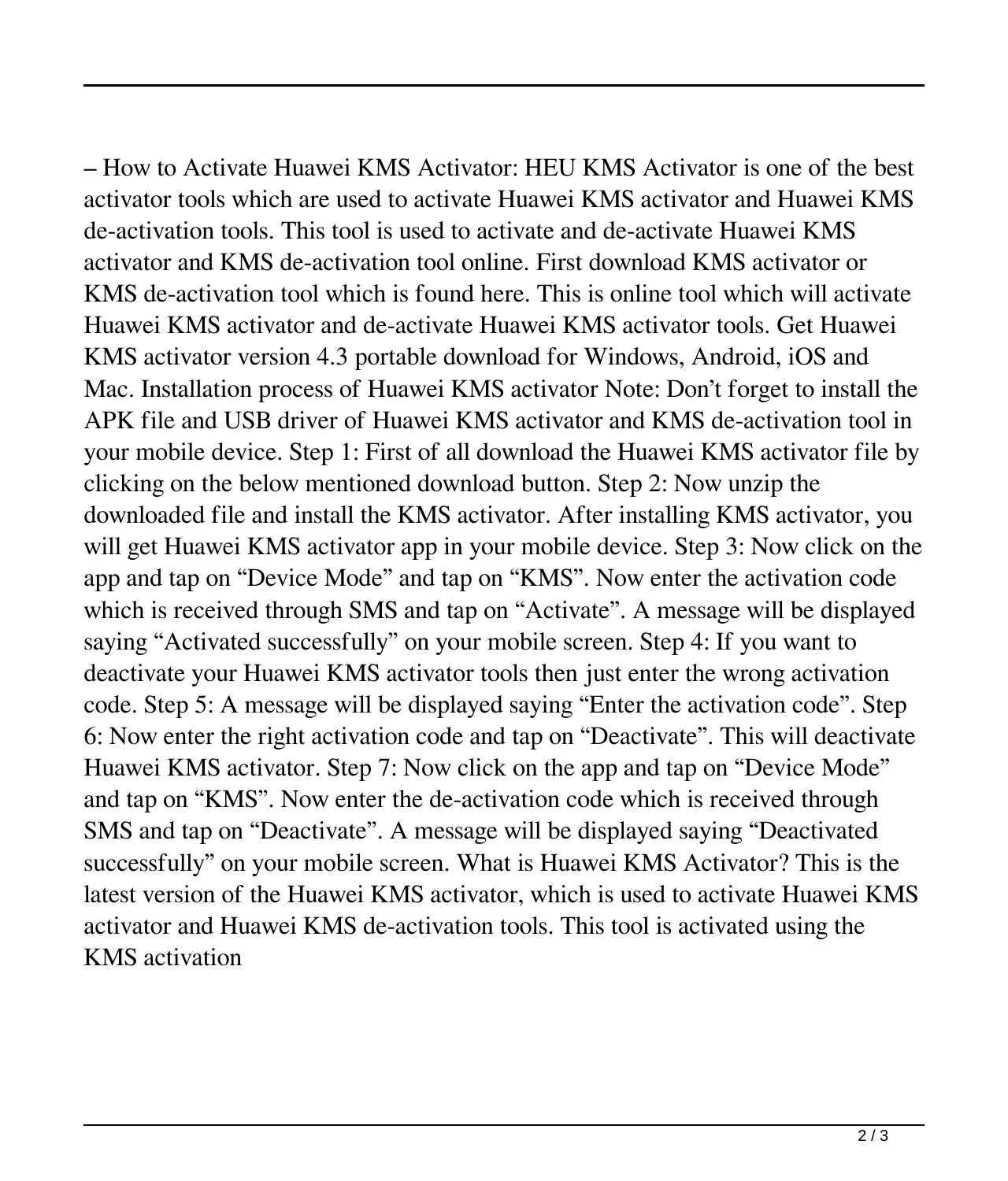– How to Activate Huawei KMS Activator: HEU KMS Activator is one of the best activator tools which are used to activate Huawei KMS activator and Huawei KMS de-activation tools. This tool is used to activate and de-activate Huawei KMS activator and KMS de-activation tool online. First download KMS activator or KMS de-activation tool which is found here. This is online tool which will activate Huawei KMS activator and de-activate Huawei KMS activator tools. Get Huawei KMS activator version 4.3 portable download for Windows, Android, iOS and Mac. Installation process of Huawei KMS activator Note: Don't forget to install the APK file and USB driver of Huawei KMS activator and KMS de-activation tool in your mobile device. Step 1: First of all download the Huawei KMS activator file by clicking on the below mentioned download button. Step 2: Now unzip the downloaded file and install the KMS activator. After installing KMS activator, you will get Huawei KMS activator app in your mobile device. Step 3: Now click on the app and tap on "Device Mode" and tap on "KMS". Now enter the activation code which is received through SMS and tap on "Activate". A message will be displayed saying "Activated successfully" on your mobile screen. Step 4: If you want to deactivate your Huawei KMS activator tools then just enter the wrong activation code. Step 5: A message will be displayed saying "Enter the activation code". Step 6: Now enter the right activation code and tap on "Deactivate". This will deactivate Huawei KMS activator. Step 7: Now click on the app and tap on "Device Mode" and tap on "KMS". Now enter the de-activation code which is received through SMS and tap on "Deactivate". A message will be displayed saying "Deactivated successfully" on your mobile screen. What is Huawei KMS Activator? This is the latest version of the Huawei KMS activator, which is used to activate Huawei KMS activator and Huawei KMS de-activation tools. This tool is activated using the KMS activation